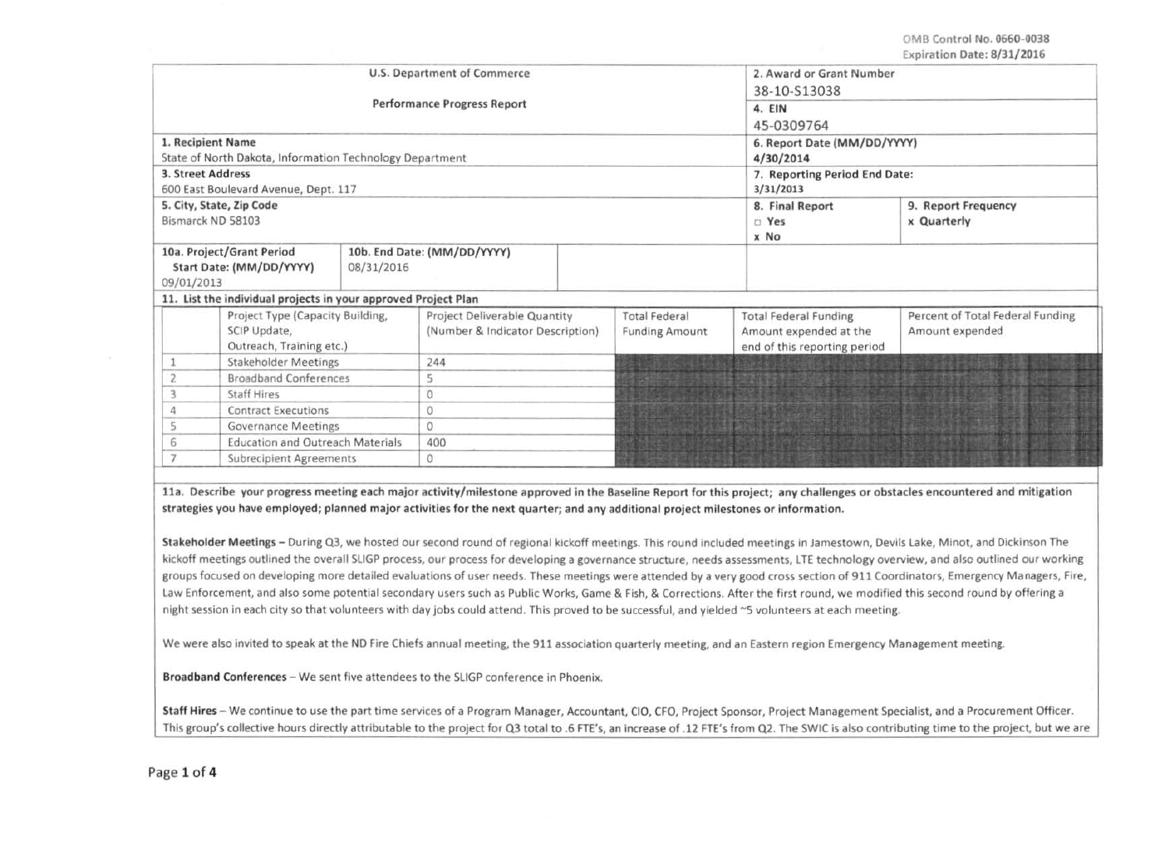OMB Control No. 0660-0038 Expiration Date: 8/31/2016

|                                                                                   |                                                                               | U.S. Department of Commerce        | 2. Award or Grant Number<br>38-10-S13038<br>4. EIN<br>45-0309764 |                                               |                                                                                        |                                                     |
|-----------------------------------------------------------------------------------|-------------------------------------------------------------------------------|------------------------------------|------------------------------------------------------------------|-----------------------------------------------|----------------------------------------------------------------------------------------|-----------------------------------------------------|
|                                                                                   |                                                                               | <b>Performance Progress Report</b> |                                                                  |                                               |                                                                                        |                                                     |
|                                                                                   | 1. Recipient Name<br>State of North Dakota, Information Technology Department |                                    | 6. Report Date (MM/DD/YYYY)<br>4/30/2014                         |                                               |                                                                                        |                                                     |
| 3. Street Address                                                                 | 600 East Boulevard Avenue, Dept. 117                                          |                                    |                                                                  |                                               | 7. Reporting Period End Date:<br>3/31/2013                                             |                                                     |
|                                                                                   | 5. City, State, Zip Code<br>Bismarck ND 58103                                 |                                    |                                                                  | 8. Final Report<br><b>TYes</b><br>x No        | 9. Report Frequency<br>x Quarterly                                                     |                                                     |
| 10a. Project/Grant Period<br>Start Date: (MM/DD/YYYY)<br>08/31/2016<br>09/01/2013 |                                                                               |                                    | 10b. End Date: (MM/DD/YYYY)                                      |                                               |                                                                                        |                                                     |
|                                                                                   | 11. List the individual projects in your approved Project Plan                |                                    |                                                                  |                                               |                                                                                        |                                                     |
|                                                                                   | Project Type (Capacity Building,<br>SCIP Update,<br>Outreach, Training etc.)  |                                    | Project Deliverable Quantity<br>(Number & Indicator Description) | <b>Total Federal</b><br><b>Funding Amount</b> | <b>Total Federal Funding</b><br>Amount expended at the<br>end of this reporting period | Percent of Total Federal Funding<br>Amount expended |
|                                                                                   | <b>Stakeholder Meetings</b>                                                   |                                    | 244                                                              |                                               |                                                                                        |                                                     |
|                                                                                   | <b>Broadband Conferences</b>                                                  |                                    | 5                                                                |                                               |                                                                                        |                                                     |
|                                                                                   | <b>Staff Hires</b>                                                            |                                    | $\mathbf{0}$                                                     |                                               |                                                                                        |                                                     |
|                                                                                   | <b>Contract Executions</b>                                                    |                                    | 0                                                                |                                               |                                                                                        |                                                     |
|                                                                                   | <b>Governance Meetings</b>                                                    |                                    | $\circ$                                                          |                                               |                                                                                        |                                                     |
|                                                                                   | <b>Education and Outreach Materials</b>                                       |                                    | 400                                                              |                                               |                                                                                        |                                                     |
| <b>Subrecipient Agreements</b>                                                    |                                                                               | 0                                  |                                                                  |                                               |                                                                                        |                                                     |

lla. Describe your progress meeting each major activity/milestone approved in the Baseline Report for this project; any challenges or obstacles encountered and mitigation strategies you have employed; planned major activities for the next quarter; and any additional project milestones or information.

Stakeholder Meetings- During Q3, we hosted our second round of regional kickoff meetings. This round included meetings in Jamestown, Devils Lake, Minot, and Dickinson The kickoff meetings outlined the overall SLIGP process, our process for developing a governance structure, needs assessments, LTE technology overview, and also outlined our working groups focused on developing more detailed evaluations of user needs. These meetings were attended by a very good cross section of 911 Coordinators, Emergency Managers, Fire, Law Enforcement, and also some potential secondary users such as Public Works, Game & Fish, & Corrections. After the first round, we modified this second round by offering a night session in each city so that volunteers with day jobs could attend. This proved to be successful, and yielded ~5 volunteers at each meeting.

We were also invited to speak at the NO Fire Chiefs annual meeting, the 911 association quarterly meeting, and an Eastern region Emergency Management meeting.

Broadband Conferences - We sent five attendees to the SLIGP conference in Phoenix.

Staff Hires - We continue to use the part time services of a Program Manager, Accountant, CIO, CFO, Project Sponsor, Project Management Specialist, and a Procurement Officer. This group's collective hours directly attributable to the project for Q3 total to .6 FTE's, an increase of .12 FTE's from Q2. The SWIC is also contributing time to the project, but we are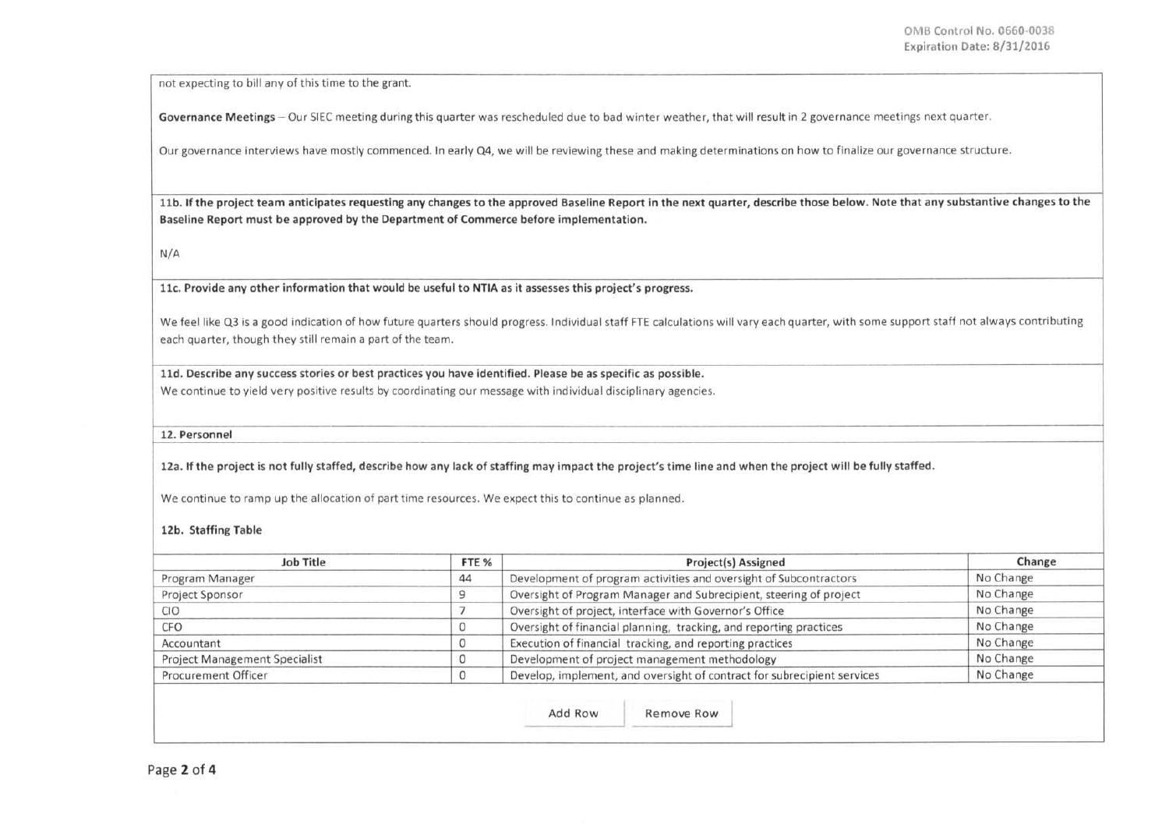I I I

not expecting to bill any of this time to the grant.

Governance Meetings - Our SIEC meeting during this quarter was rescheduled due to bad winter weather, that will result in 2 governance meetings next quarter.

Our governance interviews have mostly commenced. In early Q4, we will be reviewing these and making determinations on how to finalize our governance structure.

11b. If the project team anticipates requesting any changes to the approved Baseline Report in the next quarter, describe those below. Note that any substantive changes to the Baseline Report must be approved by the Department of Commerce before implementation.

N/A

llc. Provide any other information that would be useful to NTIA as it assesses this project's progress.

We feel like Q3 is a good indication of how future quarters should progress. Individual staff FTE calculations will vary each quarter, with some support staff not always contributing each quarter, though they still remain a part of the team.

lld. Describe any success stories or best practices you have identified. Please be as specific as possible.

We continue to yield very positive results by coordinating our message with individual disciplinary agencies.

12. Personnel

12a. If the project is not fully staffed, describe how any lack of staffing may impact the project's time line and when the project will be fully staffed.

We continue to ramp up the allocation of part time resources. We expect this to continue as planned.

## 12b. Staffing Table

| Job Title                            | FTE <sub>%</sub> | Project(s) Assigned                                                     | Change    |
|--------------------------------------|------------------|-------------------------------------------------------------------------|-----------|
| Program Manager                      | 44               | Development of program activities and oversight of Subcontractors       | No Change |
| Project Sponsor                      |                  | Oversight of Program Manager and Subrecipient, steering of project      | No Change |
| <b>CIO</b>                           |                  | Oversight of project, interface with Governor's Office                  | No Change |
| <b>CFO</b>                           | 0                | Oversight of financial planning, tracking, and reporting practices      | No Change |
| Accountant                           | 0                | Execution of financial tracking, and reporting practices                | No Change |
| <b>Project Management Specialist</b> | 0                | Development of project management methodology                           | No Change |
| Procurement Officer                  | 0                | Develop, implement, and oversight of contract for subrecipient services | No Change |

Add Row Remove Row - Aug Now Remove Now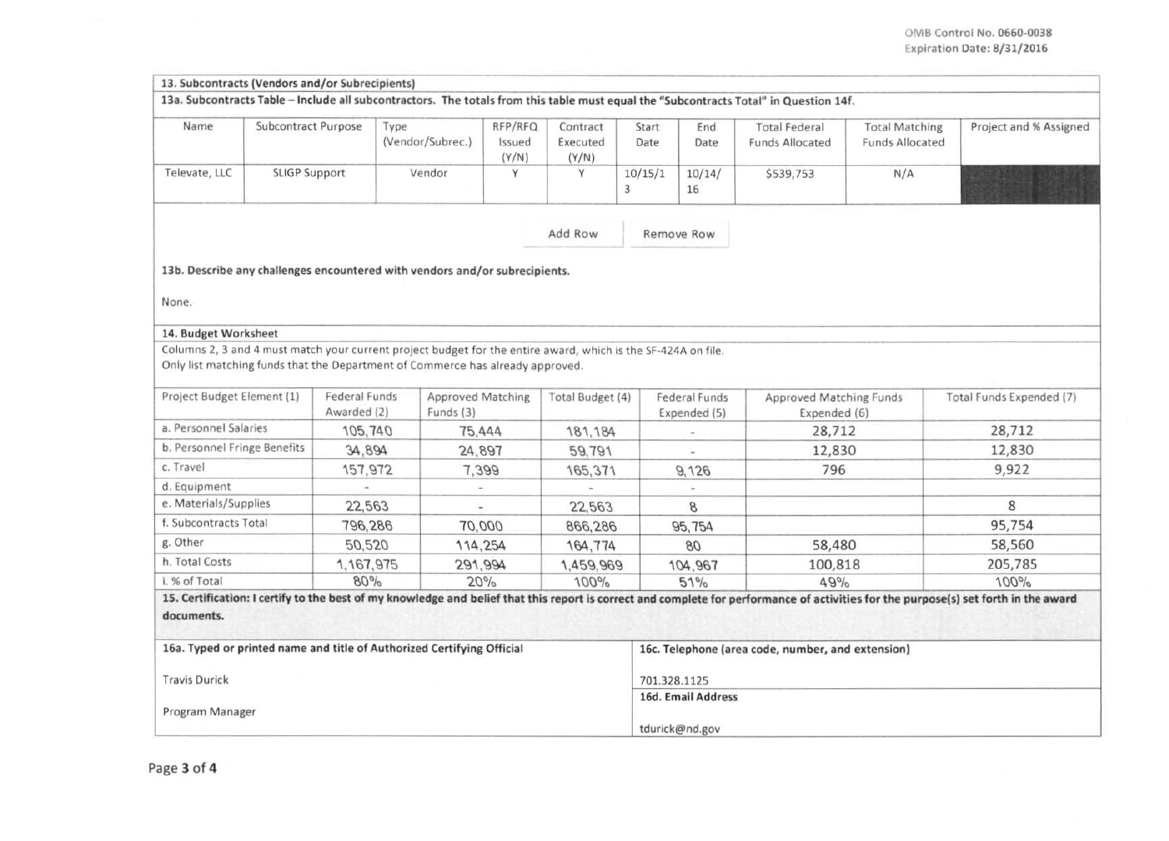| 13. Subcontracts (Vendors and/or Subrecipients) |                      |                              |                                                                                                                                                                                                 |                            |                                                             |               |                               |                                                                                                                                       |                                                 |                                                                                                                                                                                      |
|-------------------------------------------------|----------------------|------------------------------|-------------------------------------------------------------------------------------------------------------------------------------------------------------------------------------------------|----------------------------|-------------------------------------------------------------|---------------|-------------------------------|---------------------------------------------------------------------------------------------------------------------------------------|-------------------------------------------------|--------------------------------------------------------------------------------------------------------------------------------------------------------------------------------------|
|                                                 |                      |                              |                                                                                                                                                                                                 |                            |                                                             |               |                               | 13a. Subcontracts Table - Include all subcontractors. The totals from this table must equal the "Subcontracts Total" in Question 14f. |                                                 |                                                                                                                                                                                      |
| Name                                            | Subcontract Purpose  |                              | Type<br>(Vendor/Subrec.)                                                                                                                                                                        | RFP/RFQ<br>Issued<br>(Y/N) | Contract<br>Executed<br>(Y/N)                               | Start<br>Date | End<br>Date                   | <b>Total Federal</b><br>Funds Allocated                                                                                               | <b>Total Matching</b><br><b>Funds Allocated</b> | Project and % Assigned                                                                                                                                                               |
| Televate, LLC                                   | <b>SLIGP Support</b> |                              | Vendor                                                                                                                                                                                          | Υ                          | Y                                                           | 10/15/1<br>3  | 10/14/<br>16                  | \$539,753                                                                                                                             | N/A                                             |                                                                                                                                                                                      |
|                                                 |                      |                              |                                                                                                                                                                                                 |                            | Add Row                                                     |               | Remove Row                    |                                                                                                                                       |                                                 |                                                                                                                                                                                      |
|                                                 |                      |                              | 13b. Describe any challenges encountered with vendors and/or subrecipients.                                                                                                                     |                            |                                                             |               |                               |                                                                                                                                       |                                                 |                                                                                                                                                                                      |
| None.                                           |                      |                              |                                                                                                                                                                                                 |                            |                                                             |               |                               |                                                                                                                                       |                                                 |                                                                                                                                                                                      |
| 14. Budget Worksheet                            |                      |                              |                                                                                                                                                                                                 |                            |                                                             |               |                               |                                                                                                                                       |                                                 |                                                                                                                                                                                      |
|                                                 |                      |                              | Columns 2, 3 and 4 must match your current project budget for the entire award, which is the SF-424A on file.<br>Only list matching funds that the Department of Commerce has already approved. |                            |                                                             |               |                               |                                                                                                                                       |                                                 |                                                                                                                                                                                      |
| Project Budget Element (1)                      |                      | Federal Funds<br>Awarded (2) | Approved Matching<br>Funds (3)                                                                                                                                                                  |                            | Total Budget (4)                                            |               | Federal Funds<br>Expended (5) | Approved Matching Funds<br>Expended (6)                                                                                               |                                                 | Total Funds Expended (7)                                                                                                                                                             |
| a. Personnel Salaries                           |                      | 105,740                      | 75,444                                                                                                                                                                                          |                            | 181, 184                                                    |               |                               |                                                                                                                                       | 28,712                                          |                                                                                                                                                                                      |
| b. Personnel Fringe Benefits                    |                      | 34,894                       | 24,897                                                                                                                                                                                          |                            | 59,791                                                      |               | ٠                             |                                                                                                                                       | 12,830                                          |                                                                                                                                                                                      |
| c. Travel                                       |                      | 157,972                      | 7,399                                                                                                                                                                                           |                            | 165,371                                                     |               | 9,126                         | 796                                                                                                                                   |                                                 | 9,922                                                                                                                                                                                |
| d. Equipment                                    |                      |                              |                                                                                                                                                                                                 |                            | w.                                                          |               | $\rightarrow$                 |                                                                                                                                       |                                                 |                                                                                                                                                                                      |
| e. Materials/Supplies                           |                      | 22,563                       |                                                                                                                                                                                                 |                            | 22,563                                                      |               | 8                             |                                                                                                                                       |                                                 | 8                                                                                                                                                                                    |
| f. Subcontracts Total                           |                      | 796,286                      | 70,000                                                                                                                                                                                          |                            | 866,286                                                     |               | 95,754                        |                                                                                                                                       |                                                 | 95,754                                                                                                                                                                               |
| g. Other                                        |                      | 50,520                       | 114,254                                                                                                                                                                                         |                            | 164,774                                                     |               | 80                            | 58,480                                                                                                                                |                                                 | 58,560                                                                                                                                                                               |
| h. Total Costs                                  |                      | 1, 167, 975                  | 291,994                                                                                                                                                                                         |                            | 1,459,969                                                   |               | 104,967                       | 100,818                                                                                                                               |                                                 | 205,785                                                                                                                                                                              |
| 80%<br>20%<br>i. % of Total                     |                      | 100%                         |                                                                                                                                                                                                 | 51%                        | 49%                                                         |               | 100%                          |                                                                                                                                       |                                                 |                                                                                                                                                                                      |
| documents.                                      |                      |                              |                                                                                                                                                                                                 |                            |                                                             |               |                               |                                                                                                                                       |                                                 | 15. Certification: I certify to the best of my knowledge and belief that this report is correct and complete for performance of activities for the purpose(s) set forth in the award |
|                                                 |                      |                              | 16a. Typed or printed name and title of Authorized Certifying Official                                                                                                                          |                            |                                                             |               |                               | 16c. Telephone (area code, number, and extension)                                                                                     |                                                 |                                                                                                                                                                                      |
| <b>Travis Durick</b><br>Program Manager         |                      |                              |                                                                                                                                                                                                 |                            | 701.328.1125<br><b>16d. Email Address</b><br>tdurick@nd.gov |               |                               |                                                                                                                                       |                                                 |                                                                                                                                                                                      |